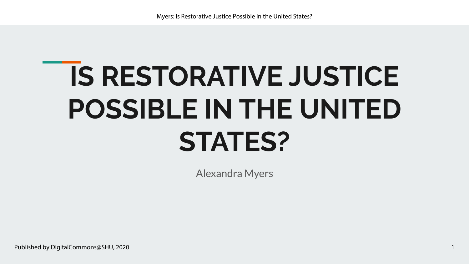# **IS RESTORATIVE JUSTICE POSSIBLE IN THE UNITED STATES?**

Alexandra Myers

1

Published by DigitalCommons@SHU, 2020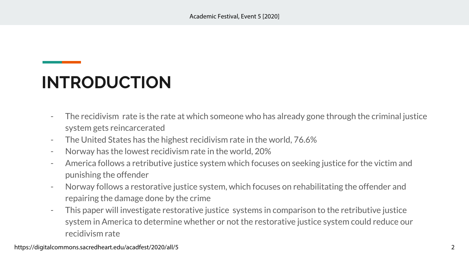## **INTRODUCTION**

- The recidivism rate is the rate at which someone who has already gone through the criminal justice system gets reincarcerated
- The United States has the highest recidivism rate in the world, 76.6%
- Norway has the lowest recidivism rate in the world, 20%
- America follows a retributive justice system which focuses on seeking justice for the victim and punishing the offender
- Norway follows a restorative justice system, which focuses on rehabilitating the offender and repairing the damage done by the crime
- This paper will investigate restorative justice systems in comparison to the retributive justice system in America to determine whether or not the restorative justice system could reduce our recidivism rate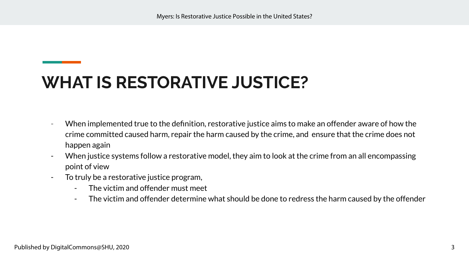#### **WHAT IS RESTORATIVE JUSTICE?**

- When implemented true to the definition, restorative justice aims to make an offender aware of how the crime committed caused harm, repair the harm caused by the crime, and ensure that the crime does not happen again
- When justice systems follow a restorative model, they aim to look at the crime from an all encompassing point of view
- To truly be a restorative justice program,
	- The victim and offender must meet
	- The victim and offender determine what should be done to redress the harm caused by the offender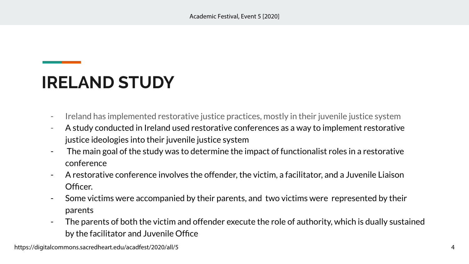#### **IRELAND STUDY**

- Ireland has implemented restorative justice practices, mostly in their juvenile justice system
- A study conducted in Ireland used restorative conferences as a way to implement restorative justice ideologies into their juvenile justice system
- The main goal of the study was to determine the impact of functionalist roles in a restorative conference
- A restorative conference involves the offender, the victim, a facilitator, and a Juvenile Liaison Officer.
- Some victims were accompanied by their parents, and two victims were represented by their parents
- The parents of both the victim and offender execute the role of authority, which is dually sustained by the facilitator and Juvenile Office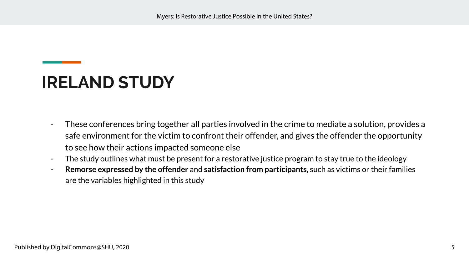#### **IRELAND STUDY**

- These conferences bring together all parties involved in the crime to mediate a solution, provides a safe environment for the victim to confront their offender, and gives the offender the opportunity to see how their actions impacted someone else
- The study outlines what must be present for a restorative justice program to stay true to the ideology
- **Remorse expressed by the offender** and **satisfaction from participants**, such as victims or their families are the variables highlighted in this study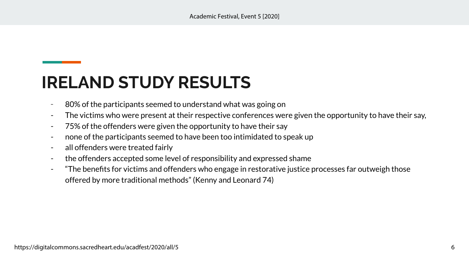#### **IRELAND STUDY RESULTS**

- 80% of the participants seemed to understand what was going on
- The victims who were present at their respective conferences were given the opportunity to have their say,
- 75% of the offenders were given the opportunity to have their say
- none of the participants seemed to have been too intimidated to speak up
- all offenders were treated fairly
- the offenders accepted some level of responsibility and expressed shame
- "The benefits for victims and offenders who engage in restorative justice processes far outweigh those offered by more traditional methods" (Kenny and Leonard 74)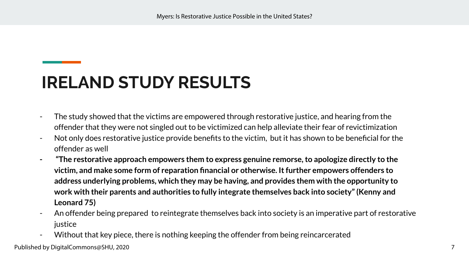#### **IRELAND STUDY RESULTS**

- The study showed that the victims are empowered through restorative justice, and hearing from the offender that they were not singled out to be victimized can help alleviate their fear of revictimization
- Not only does restorative justice provide benefits to the victim, but it has shown to be beneficial for the offender as well
- **"The restorative approach empowers them to express genuine remorse, to apologize directly to the victim, and make some form of reparation financial or otherwise. It further empowers offenders to address underlying problems, which they may be having, and provides them with the opportunity to work with their parents and authorities to fully integrate themselves back into society" (Kenny and Leonard 75)**
- An offender being prepared to reintegrate themselves back into society is an imperative part of restorative iustice
- Without that key piece, there is nothing keeping the offender from being reincarcerated

Published by DigitalCommons@SHU, 2020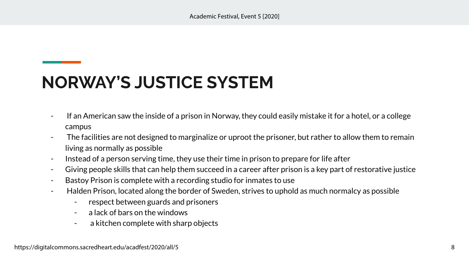- If an American saw the inside of a prison in Norway, they could easily mistake it for a hotel, or a college campus
- The facilities are not designed to marginalize or uproot the prisoner, but rather to allow them to remain living as normally as possible
- Instead of a person serving time, they use their time in prison to prepare for life after
- Giving people skills that can help them succeed in a career after prison is a key part of restorative justice
- Bastoy Prison is complete with a recording studio for inmates to use
- Halden Prison, located along the border of Sweden, strives to uphold as much normalcy as possible
	- respect between guards and prisoners
	- a lack of bars on the windows
	- a kitchen complete with sharp objects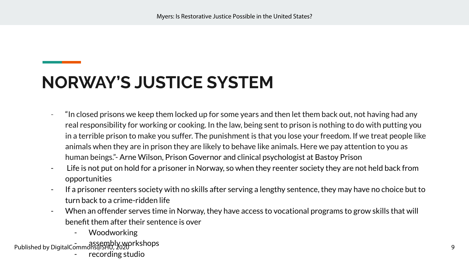- "In closed prisons we keep them locked up for some years and then let them back out, not having had any real responsibility for working or cooking. In the law, being sent to prison is nothing to do with putting you in a terrible prison to make you suffer. The punishment is that you lose your freedom. If we treat people like animals when they are in prison they are likely to behave like animals. Here we pay attention to you as human beings."- Arne Wilson, Prison Governor and clinical psychologist at Bastoy Prison
- Life is not put on hold for a prisoner in Norway, so when they reenter society they are not held back from opportunities
- If a prisoner reenters society with no skills after serving a lengthy sentence, they may have no choice but to turn back to a crime-ridden life
- When an offender serves time in Norway, they have access to vocational programs to grow skills that will benefit them after their sentence is over
	- Woodworking
- Published by DigitalCommons@SHU, 2020rkshops recording studio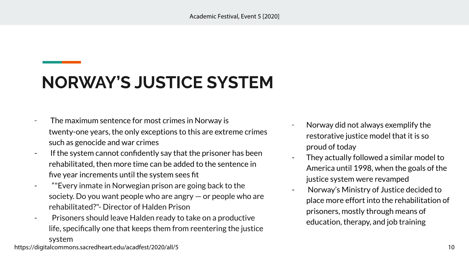- The maximum sentence for most crimes in Norway is twenty-one years, the only exceptions to this are extreme crimes such as genocide and war crimes
- If the system cannot confidently say that the prisoner has been rehabilitated, then more time can be added to the sentence in five year increments until the system sees fit
- ""Every inmate in Norwegian prison are going back to the society. Do you want people who are angry — or people who are rehabilitated?"- Director of Halden Prison
- Prisoners should leave Halden ready to take on a productive life, specifically one that keeps them from reentering the justice system
- Norway did not always exemplify the restorative justice model that it is so proud of today
- They actually followed a similar model to America until 1998, when the goals of the justice system were revamped
- Norway's Ministry of Justice decided to place more effort into the rehabilitation of prisoners, mostly through means of education, therapy, and job training

https://digitalcommons.sacredheart.edu/acadfest/2020/all/5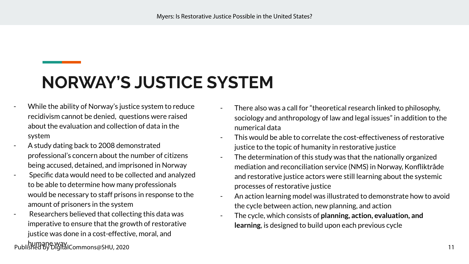- While the ability of Norway's justice system to reduce recidivism cannot be denied, questions were raised about the evaluation and collection of data in the system
- A study dating back to 2008 demonstrated professional's concern about the number of citizens being accused, detained, and imprisoned in Norway
- Specific data would need to be collected and analyzed to be able to determine how many professionals would be necessary to staff prisons in response to the amount of prisoners in the system
- Researchers believed that collecting this data was imperative to ensure that the growth of restorative justice was done in a cost-effective, moral, and

humane way Published by DigitalCommons@SHU, 2020

- There also was a call for "theoretical research linked to philosophy, sociology and anthropology of law and legal issues" in addition to the numerical data
- This would be able to correlate the cost-effectiveness of restorative justice to the topic of humanity in restorative justice
- The determination of this study was that the nationally organized mediation and reconciliation service (NMS) in Norway, Konfliktråde and restorative justice actors were still learning about the systemic processes of restorative justice
- An action learning model was illustrated to demonstrate how to avoid the cycle between action, new planning, and action
- The cycle, which consists of **planning, action, evaluation, and learning**, is designed to build upon each previous cycle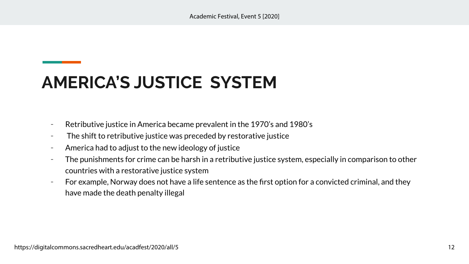## **AMERICA'S JUSTICE SYSTEM**

- Retributive justice in America became prevalent in the 1970's and 1980's
- The shift to retributive justice was preceded by restorative justice
- America had to adjust to the new ideology of justice
- The punishments for crime can be harsh in a retributive justice system, especially in comparison to other countries with a restorative justice system
- For example, Norway does not have a life sentence as the first option for a convicted criminal, and they have made the death penalty illegal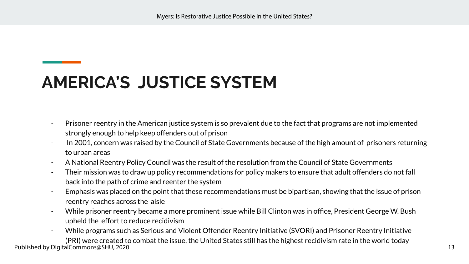#### **AMERICA'S JUSTICE SYSTEM**

- Prisoner reentry in the American justice system is so prevalent due to the fact that programs are not implemented strongly enough to help keep offenders out of prison
- In 2001, concern was raised by the Council of State Governments because of the high amount of prisoners returning to urban areas
- A National Reentry Policy Council was the result of the resolution from the Council of State Governments
- Their mission was to draw up policy recommendations for policy makers to ensure that adult offenders do not fall back into the path of crime and reenter the system
- Emphasis was placed on the point that these recommendations must be bipartisan, showing that the issue of prison reentry reaches across the aisle
- While prisoner reentry became a more prominent issue while Bill Clinton was in office, President George W. Bush upheld the effort to reduce recidivism
- While programs such as Serious and Violent Offender Reentry Initiative (SVORI) and Prisoner Reentry Initiative (PRI) were created to combat the issue, the United States still has the highest recidivism rate in the world today

Published by DigitalCommons@SHU, 2020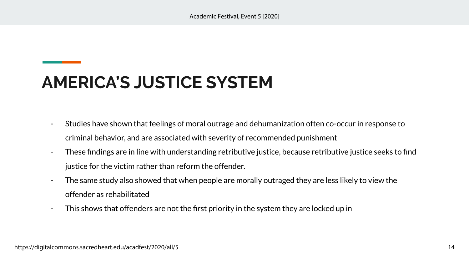## **AMERICA'S JUSTICE SYSTEM**

- Studies have shown that feelings of moral outrage and dehumanization often co-occur in response to criminal behavior, and are associated with severity of recommended punishment
- These findings are in line with understanding retributive justice, because retributive justice seeks to find justice for the victim rather than reform the offender.
- The same study also showed that when people are morally outraged they are less likely to view the offender as rehabilitated
- This shows that offenders are not the first priority in the system they are locked up in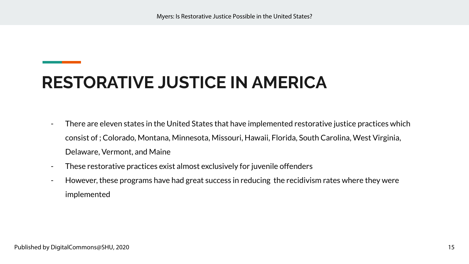- There are eleven states in the United States that have implemented restorative justice practices which consist of ; Colorado, Montana, Minnesota, Missouri, Hawaii, Florida, South Carolina, West Virginia, Delaware, Vermont, and Maine
- These restorative practices exist almost exclusively for juvenile offenders
- However, these programs have had great success in reducing the recidivism rates where they were implemented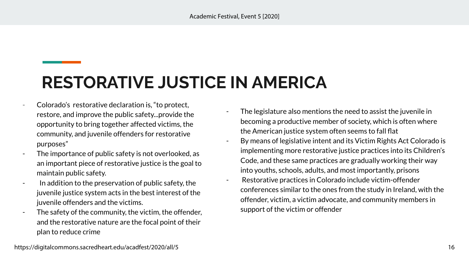- Colorado's restorative declaration is, "to protect, restore, and improve the public safety...provide the opportunity to bring together affected victims, the community, and juvenile offenders for restorative purposes"
- The importance of public safety is not overlooked, as an important piece of restorative justice is the goal to maintain public safety.
- In addition to the preservation of public safety, the juvenile justice system acts in the best interest of the juvenile offenders and the victims.
- The safety of the community, the victim, the offender, and the restorative nature are the focal point of their plan to reduce crime
- The legislature also mentions the need to assist the juvenile in becoming a productive member of society, which is often where the American justice system often seems to fall flat
- By means of legislative intent and its Victim Rights Act Colorado is implementing more restorative justice practices into its Children's Code, and these same practices are gradually working their way into youths, schools, adults, and most importantly, prisons
- Restorative practices in Colorado include victim-offender conferences similar to the ones from the study in Ireland, with the offender, victim, a victim advocate, and community members in support of the victim or offender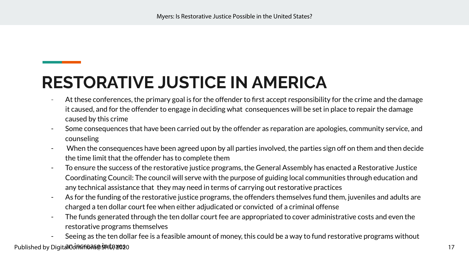- At these conferences, the primary goal is for the offender to first accept responsibility for the crime and the damage it caused, and for the offender to engage in deciding what consequences will be set in place to repair the damage caused by this crime
- Some consequences that have been carried out by the offender as reparation are apologies, community service, and counseling
- When the consequences have been agreed upon by all parties involved, the parties sign off on them and then decide the time limit that the offender has to complete them
- To ensure the success of the restorative justice programs, the General Assembly has enacted a Restorative Justice Coordinating Council: The council will serve with the purpose of guiding local communities through education and any technical assistance that they may need in terms of carrying out restorative practices
- As for the funding of the restorative justice programs, the offenders themselves fund them, juveniles and adults are charged a ten dollar court fee when either adjudicated or convicted of a criminal offense
- The funds generated through the ten dollar court fee are appropriated to cover administrative costs and even the restorative programs themselves
- Seeing as the ten dollar fee is a feasible amount of money, this could be a way to fund restorative programs without Published by DigitalOd በፍተኛ መልክ ነው ይህ አይደለም ነው። በአንድ የመልክ ነው የመልክ ነው የመልክ ነው የመልክ ነው የመልክ ነው የመልክ ነው የመልክ ነው የ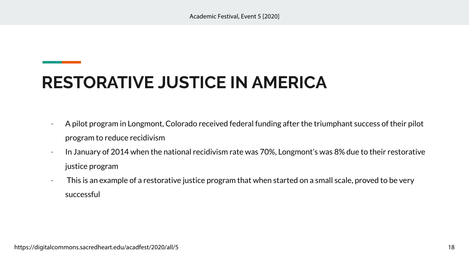- A pilot program in Longmont, Colorado received federal funding after the triumphant success of their pilot program to reduce recidivism
- In January of 2014 when the national recidivism rate was 70%, Longmont's was 8% due to their restorative justice program
- This is an example of a restorative justice program that when started on a small scale, proved to be very successful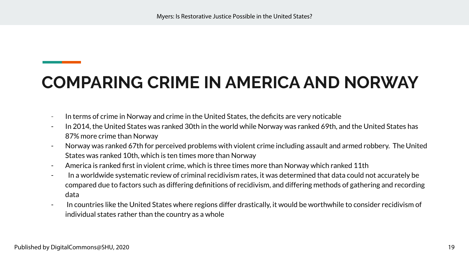## **COMPARING CRIME IN AMERICA AND NORWAY**

- In terms of crime in Norway and crime in the United States, the deficits are very noticable
- In 2014, the United States was ranked 30th in the world while Norway was ranked 69th, and the United States has 87% more crime than Norway
- Norway was ranked 67th for perceived problems with violent crime including assault and armed robbery. The United States was ranked 10th, which is ten times more than Norway
- America is ranked first in violent crime, which is three times more than Norway which ranked 11th
- In a worldwide systematic review of criminal recidivism rates, it was determined that data could not accurately be compared due to factors such as differing definitions of recidivism, and differing methods of gathering and recording data
- In countries like the United States where regions differ drastically, it would be worthwhile to consider recidivism of individual states rather than the country as a whole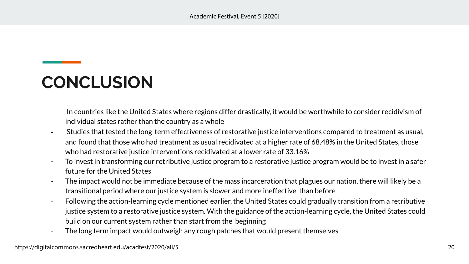#### **CONCLUSION**

- In countries like the United States where regions differ drastically, it would be worthwhile to consider recidivism of individual states rather than the country as a whole
- Studies that tested the long-term effectiveness of restorative justice interventions compared to treatment as usual, and found that those who had treatment as usual recidivated at a higher rate of 68.48% in the United States, those who had restorative justice interventions recidivated at a lower rate of 33.16%
- To invest in transforming our retributive justice program to a restorative justice program would be to invest in a safer future for the United States
- The impact would not be immediate because of the mass incarceration that plagues our nation, there will likely be a transitional period where our justice system is slower and more ineffective than before
- Following the action-learning cycle mentioned earlier, the United States could gradually transition from a retributive justice system to a restorative justice system. With the guidance of the action-learning cycle, the United States could build on our current system rather than start from the beginning
- The long term impact would outweigh any rough patches that would present themselves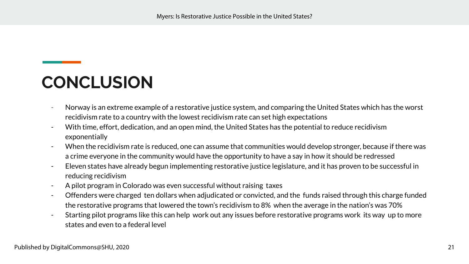#### **CONCLUSION**

- Norway is an extreme example of a restorative justice system, and comparing the United States which has the worst recidivism rate to a country with the lowest recidivism rate can set high expectations
- With time, effort, dedication, and an open mind, the United States has the potential to reduce recidivism exponentially
- When the recidivism rate is reduced, one can assume that communities would develop stronger, because if there was a crime everyone in the community would have the opportunity to have a say in how it should be redressed
- Eleven states have already begun implementing restorative justice legislature, and it has proven to be successful in reducing recidivism
- A pilot program in Colorado was even successful without raising taxes
- Offenders were charged ten dollars when adjudicated or convicted, and the funds raised through this charge funded the restorative programs that lowered the town's recidivism to 8% when the average in the nation's was 70%
- Starting pilot programs like this can help work out any issues before restorative programs work its way up to more states and even to a federal level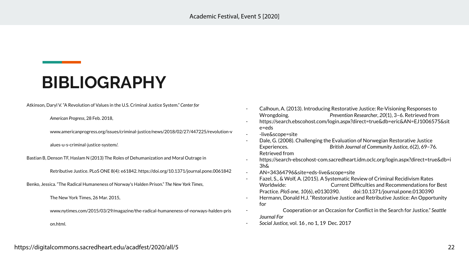#### **BIBLIOGRAPHY**

Atkinson, Daryl V. "A Revolution of Values in the U.S. Criminal Justice System." *Center for*

*American Progress*, 28 Feb. 2018,

[www.americanprogress.org/issues/criminal-justice/news/2018/02/27/447225/revolution-v](http://www.americanprogress.org/issues/criminal-justice/news/2018/02/27/447225/revolution-v)

alues-u-s-criminal-justice-system/.

Bastian B, Denson TF, Haslam N (2013) The Roles of Dehumanization and Moral Outrage in

Retributive Justice. PLoS ONE 8(4): e61842.<https://doi.org/10.1371/journal.pone.0061842>

Benko, Jessica. "The Radical Humaneness of Norway's Halden Prison." *The New York Times*,

The New York Times, 26 Mar. 2015,

[www.nytimes.com/2015/03/29/magazine/the-radical-humaneness-of-norways-halden-pris](http://www.nytimes.com/2015/03/29/magazine/the-radical-humaneness-of-norways-halden-pris)

on.html.

- Calhoun, A. (2013). Introducing Restorative Justice: Re-Visioning Responses to Wrongdoing. *Prevention Researcher*, *20*(1), 3–6. Retrieved from
- [https://search.ebscohost.com/login.aspx?direct=true&db=eric&AN=EJ1006575&sit](https://search.ebscohost.com/login.aspx?direct=true&db=eric&AN=EJ1006575&site=eds-live&scope=site) [e=eds](https://search.ebscohost.com/login.aspx?direct=true&db=eric&AN=EJ1006575&site=eds-live&scope=site)
- [-live&scope=site](https://search.ebscohost.com/login.aspx?direct=true&db=eric&AN=EJ1006575&site=eds-live&scope=site)
- Dale, G. (2008). Challenging the Evaluation of Norwegian Restorative Justice Experiences. *British Journal of Community Justice*, *6*(2), 69–76. Retrieved from
- [https://search-ebscohost-com.sacredheart.idm.oclc.org/login.aspx?direct=true&db=i](https://search-ebscohost-com.sacredheart.idm.oclc.org/login.aspx?direct=true&db=i3h&AN=34364796&site=eds-live&scope=site) [3h&](https://search-ebscohost-com.sacredheart.idm.oclc.org/login.aspx?direct=true&db=i3h&AN=34364796&site=eds-live&scope=site)
- [AN=34364796&site=eds-live&scope=site](https://search-ebscohost-com.sacredheart.idm.oclc.org/login.aspx?direct=true&db=i3h&AN=34364796&site=eds-live&scope=site)
- Fazel, S., & Wolf, A. (2015). A Systematic Review of Criminal Recidivism Rates Current Difficulties and Recommendations for Best Practice. *PloS one*, *10*(6), e0130390. doi:10.1371/journal.pone.0130390
- Hermann, Donald H.J. "Restorative Justice and Retributive Justice: An Opportunity for
- Cooperation or an Occasion for Conflict in the Search for Justice." *Seattle Journal For*
- *Social Justice,* vol. 16 , no 1, 19 Dec. 2017